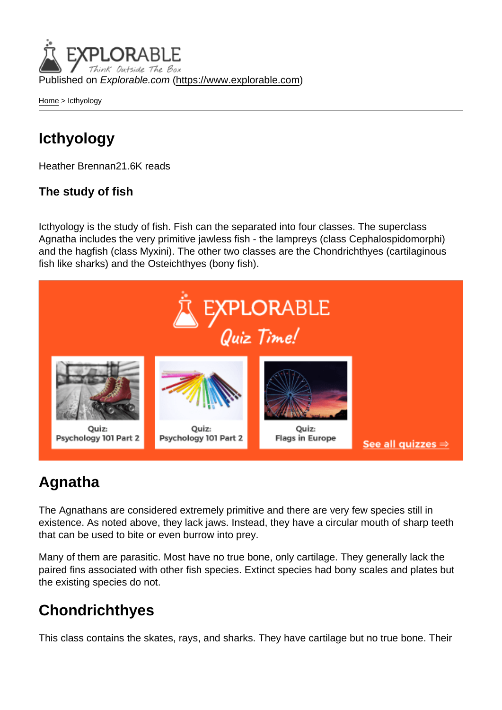Published on Explorable.com (<https://www.explorable.com>)

[Home](https://www.explorable.com/) > Icthyology

## Icthyology

Heather Brennan21.6K reads

### The study of fish

Icthyology is the study of fish. Fish can the separated into four classes. The superclass Agnatha includes the very primitive jawless fish - the lampreys (class Cephalospidomorphi) and the hagfish (class Myxini). The other two classes are the Chondrichthyes (cartilaginous fish like sharks) and the Osteichthyes (bony fish).

## Agnatha

The Agnathans are considered extremely primitive and there are very few species still in existence. As noted above, they lack jaws. Instead, they have a circular mouth of sharp teeth that can be used to bite or even burrow into prey.

Many of them are parasitic. Most have no true bone, only cartilage. They generally lack the paired fins associated with other fish species. Extinct species had bony scales and plates but the existing species do not.

# **Chondrichthyes**

This class contains the skates, rays, and sharks. They have cartilage but no true bone. Their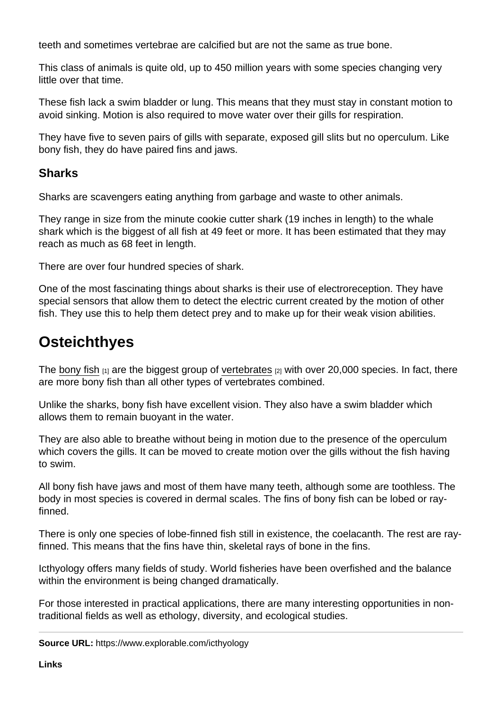teeth and sometimes vertebrae are calcified but are not the same as true bone.

This class of animals is quite old, up to 450 million years with some species changing very little over that time.

These fish lack a swim bladder or lung. This means that they must stay in constant motion to avoid sinking. Motion is also required to move water over their gills for respiration.

They have five to seven pairs of gills with separate, exposed gill slits but no operculum. Like bony fish, they do have paired fins and jaws.

#### **Sharks**

Sharks are scavengers eating anything from garbage and waste to other animals.

They range in size from the minute cookie cutter shark (19 inches in length) to the whale shark which is the biggest of all fish at 49 feet or more. It has been estimated that they may reach as much as 68 feet in length.

There are over four hundred species of shark.

One of the most fascinating things about sharks is their use of electroreception. They have special sensors that allow them to detect the electric current created by the motion of other fish. They use this to help them detect prey and to make up for their weak vision abilities.

## **Osteichthyes**

The [bony fish](http://video.nationalgeographic.com/video/animals/fish-animals/bony-fish/)  $[1]$  are the biggest group of [vertebrates](https://www.explorable.com/vertebrates)  $[2]$  with over 20,000 species. In fact, there are more bony fish than all other types of vertebrates combined.

Unlike the sharks, bony fish have excellent vision. They also have a swim bladder which allows them to remain buoyant in the water.

They are also able to breathe without being in motion due to the presence of the operculum which covers the gills. It can be moved to create motion over the gills without the fish having to swim.

All bony fish have jaws and most of them have many teeth, although some are toothless. The body in most species is covered in dermal scales. The fins of bony fish can be lobed or rayfinned.

There is only one species of lobe-finned fish still in existence, the coelacanth. The rest are rayfinned. This means that the fins have thin, skeletal rays of bone in the fins.

Icthyology offers many fields of study. World fisheries have been overfished and the balance within the environment is being changed dramatically.

For those interested in practical applications, there are many interesting opportunities in nontraditional fields as well as ethology, diversity, and ecological studies.

Source URL: https://www.explorable.com/icthyology